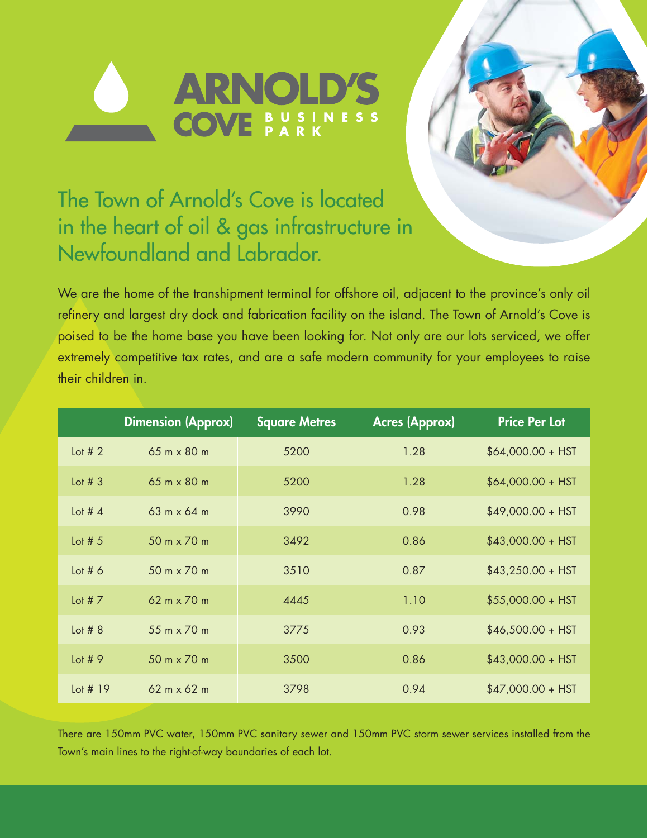



## The Town of Arnold's Cove is located in the heart of oil & gas infrastructure in Newfoundland and Labrador.

We are the home of the transhipment terminal for offshore oil, adjacent to the province's only oil refinery and largest dry dock and fabrication facility on the island. The Town of Arnold's Cove is poised to be the home base you have been looking for. Not only are our lots serviced, we offer extremely competitive tax rates, and are a safe modern community for your employees to raise their children in.

|            | <b>Dimension (Approx)</b>          | <b>Square Metres</b> | <b>Acres (Approx)</b> | <b>Price Per Lot</b> |
|------------|------------------------------------|----------------------|-----------------------|----------------------|
| Lot $#2$   | $65 \text{ m} \times 80 \text{ m}$ | 5200                 | 1.28                  | $$64,000.00 + HST$   |
| Lot $# 3$  | $65 \text{ m} \times 80 \text{ m}$ | 5200                 | 1.28                  | $$64,000.00 + HST$   |
| Lot # $4$  | $63 \text{ m} \times 64 \text{ m}$ | 3990                 | 0.98                  | $$49,000.00 + HST$   |
| Lot # $5$  | 50 m x 70 m                        | 3492                 | 0.86                  | $$43,000.00 + HST$   |
| Lot $# 6$  | 50 m x 70 m                        | 3510                 | 0.87                  | $$43,250.00 + HST$   |
| Lot # $7$  | $62 m \times 70 m$                 | 4445                 | 1.10                  | $$55,000.00 + HST$   |
| Lot $# 8$  | 55 m x 70 m                        | 3775                 | 0.93                  | $$46,500.00 + HST$   |
| Lot # $9$  | 50 m x 70 m                        | 3500                 | 0.86                  | $$43,000.00 + HST$   |
| Lot $# 19$ | $62 m \times 62 m$                 | 3798                 | 0.94                  | $$47,000.00 + HST$   |

There are 150mm PVC water, 150mm PVC sanitary sewer and 150mm PVC storm sewer services installed from the Town's main lines to the right-of-way boundaries of each lot.